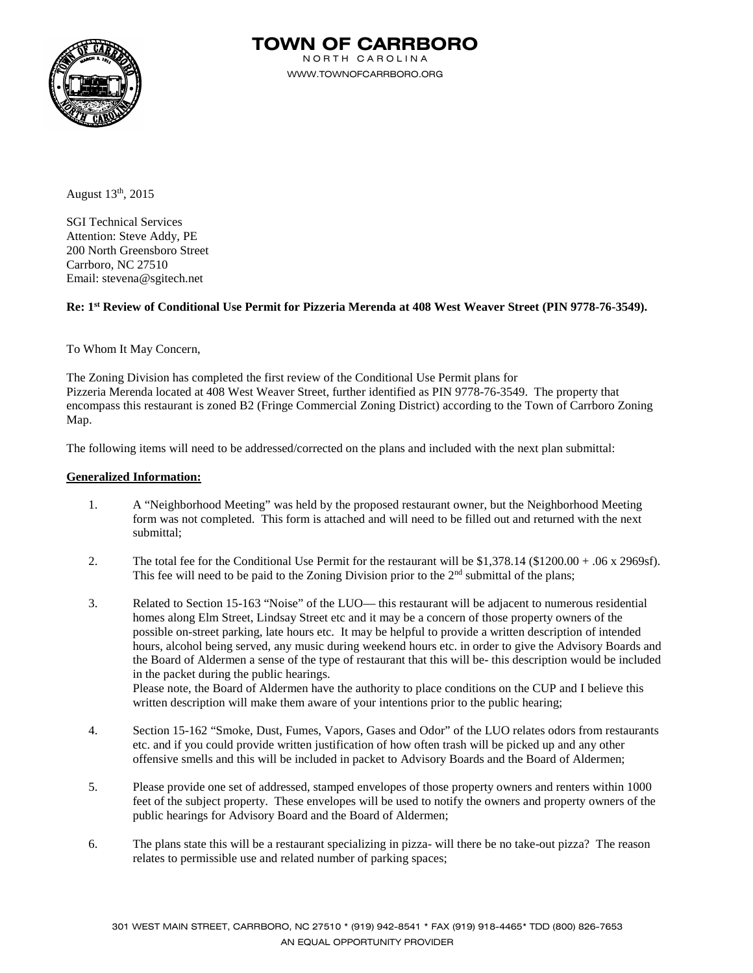

**TOWN OF CARRBORO**

N O R T H C A R O L I N A WWW.TOWNOFCARRBORO.ORG

August  $13<sup>th</sup>$ , 2015

SGI Technical Services Attention: Steve Addy, PE 200 North Greensboro Street Carrboro, NC 27510 Email: stevena@sgitech.net

### **Re: 1st Review of Conditional Use Permit for Pizzeria Merenda at 408 West Weaver Street (PIN 9778-76-3549).**

To Whom It May Concern,

The Zoning Division has completed the first review of the Conditional Use Permit plans for Pizzeria Merenda located at 408 West Weaver Street, further identified as PIN 9778-76-3549. The property that encompass this restaurant is zoned B2 (Fringe Commercial Zoning District) according to the Town of Carrboro Zoning Map.

The following items will need to be addressed/corrected on the plans and included with the next plan submittal:

### **Generalized Information:**

- 1. A "Neighborhood Meeting" was held by the proposed restaurant owner, but the Neighborhood Meeting form was not completed. This form is attached and will need to be filled out and returned with the next submittal;
- 2. The total fee for the Conditional Use Permit for the restaurant will be \$1,378.14 (\$1200.00 + .06 x 2969sf). This fee will need to be paid to the Zoning Division prior to the  $2<sup>nd</sup>$  submittal of the plans;
- 3. Related to Section 15-163 "Noise" of the LUO— this restaurant will be adjacent to numerous residential homes along Elm Street, Lindsay Street etc and it may be a concern of those property owners of the possible on-street parking, late hours etc. It may be helpful to provide a written description of intended hours, alcohol being served, any music during weekend hours etc. in order to give the Advisory Boards and the Board of Aldermen a sense of the type of restaurant that this will be- this description would be included in the packet during the public hearings. Please note, the Board of Aldermen have the authority to place conditions on the CUP and I believe this written description will make them aware of your intentions prior to the public hearing;
- 4. Section 15-162 "Smoke, Dust, Fumes, Vapors, Gases and Odor" of the LUO relates odors from restaurants etc. and if you could provide written justification of how often trash will be picked up and any other offensive smells and this will be included in packet to Advisory Boards and the Board of Aldermen;
- 5. Please provide one set of addressed, stamped envelopes of those property owners and renters within 1000 feet of the subject property. These envelopes will be used to notify the owners and property owners of the public hearings for Advisory Board and the Board of Aldermen;
- 6. The plans state this will be a restaurant specializing in pizza- will there be no take-out pizza? The reason relates to permissible use and related number of parking spaces;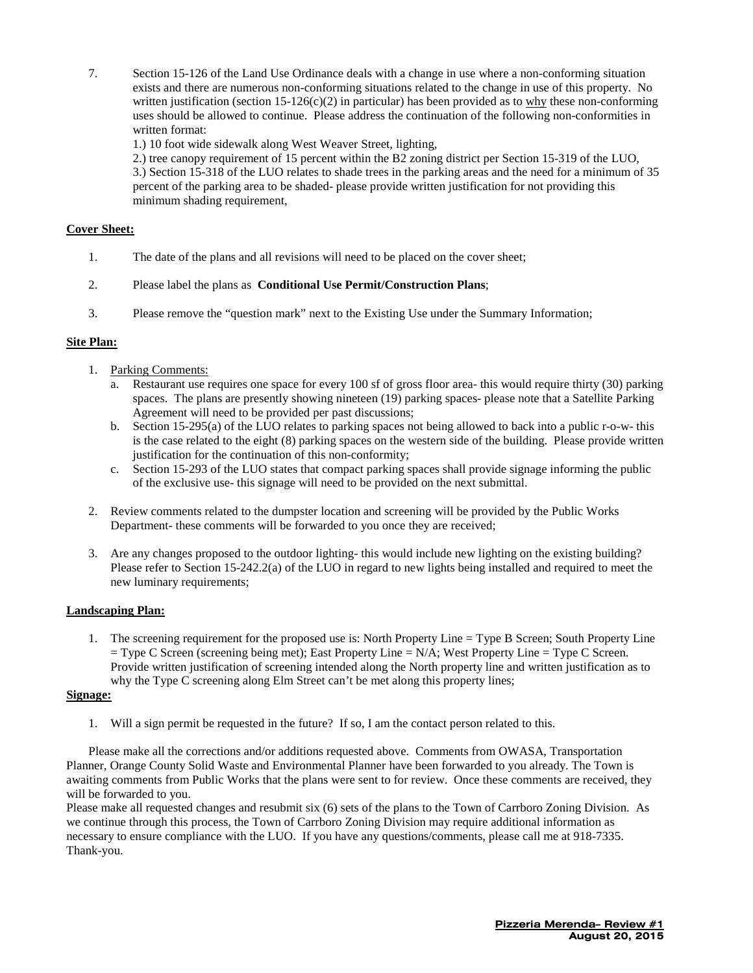7. Section 15-126 of the Land Use Ordinance deals with a change in use where a non-conforming situation exists and there are numerous non-conforming situations related to the change in use of this property. No written justification (section  $15-126(c)(2)$  in particular) has been provided as to why these non-conforming uses should be allowed to continue. Please address the continuation of the following non-conformities in written format:

1.) 10 foot wide sidewalk along West Weaver Street, lighting,

2.) tree canopy requirement of 15 percent within the B2 zoning district per Section 15-319 of the LUO, 3.) Section 15-318 of the LUO relates to shade trees in the parking areas and the need for a minimum of 35 percent of the parking area to be shaded- please provide written justification for not providing this minimum shading requirement,

### **Cover Sheet:**

- 1. The date of the plans and all revisions will need to be placed on the cover sheet;
- 2. Please label the plans as **Conditional Use Permit/Construction Plans**;
- 3. Please remove the "question mark" next to the Existing Use under the Summary Information;

### **Site Plan:**

- 1. Parking Comments:
	- a. Restaurant use requires one space for every 100 sf of gross floor area- this would require thirty (30) parking spaces. The plans are presently showing nineteen (19) parking spaces- please note that a Satellite Parking Agreement will need to be provided per past discussions;
	- b. Section 15-295(a) of the LUO relates to parking spaces not being allowed to back into a public r-o-w- this is the case related to the eight (8) parking spaces on the western side of the building. Please provide written justification for the continuation of this non-conformity;
	- c. Section 15-293 of the LUO states that compact parking spaces shall provide signage informing the public of the exclusive use- this signage will need to be provided on the next submittal.
- 2. Review comments related to the dumpster location and screening will be provided by the Public Works Department- these comments will be forwarded to you once they are received;
- 3. Are any changes proposed to the outdoor lighting- this would include new lighting on the existing building? Please refer to Section 15-242.2(a) of the LUO in regard to new lights being installed and required to meet the new luminary requirements;

### **Landscaping Plan:**

1. The screening requirement for the proposed use is: North Property Line = Type B Screen; South Property Line  $=$  Type C Screen (screening being met); East Property Line  $= N/A$ ; West Property Line  $= T$ ype C Screen. Provide written justification of screening intended along the North property line and written justification as to why the Type C screening along Elm Street can't be met along this property lines;

### **Signage:**

1. Will a sign permit be requested in the future? If so, I am the contact person related to this.

Please make all the corrections and/or additions requested above. Comments from OWASA, Transportation Planner, Orange County Solid Waste and Environmental Planner have been forwarded to you already. The Town is awaiting comments from Public Works that the plans were sent to for review. Once these comments are received, they will be forwarded to you.

Please make all requested changes and resubmit six (6) sets of the plans to the Town of Carrboro Zoning Division. As we continue through this process, the Town of Carrboro Zoning Division may require additional information as necessary to ensure compliance with the LUO. If you have any questions/comments, please call me at 918-7335. Thank-you.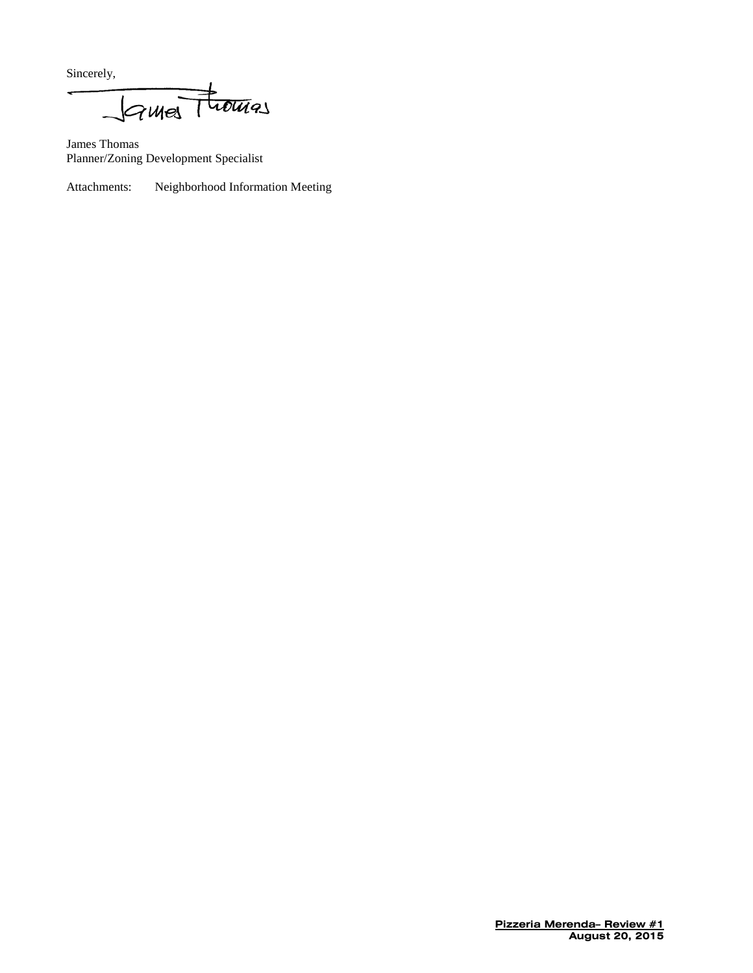Sincerely,

James Thomas Planner/Zoning Development Specialist

Attachments: Neighborhood Information Meeting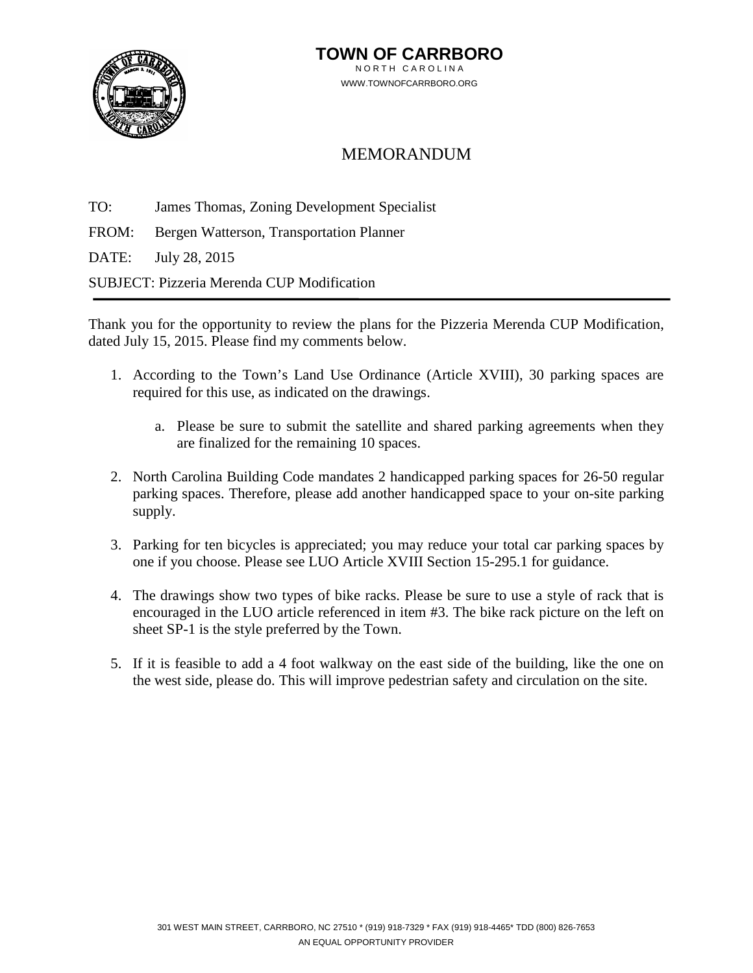

## MEMORANDUM

TO: James Thomas, Zoning Development Specialist

FROM: Bergen Watterson, Transportation Planner

DATE: July 28, 2015

SUBJECT: Pizzeria Merenda CUP Modification

Thank you for the opportunity to review the plans for the Pizzeria Merenda CUP Modification, dated July 15, 2015. Please find my comments below.

- 1. According to the Town's Land Use Ordinance (Article XVIII), 30 parking spaces are required for this use, as indicated on the drawings.
	- a. Please be sure to submit the satellite and shared parking agreements when they are finalized for the remaining 10 spaces.
- 2. North Carolina Building Code mandates 2 handicapped parking spaces for 26-50 regular parking spaces. Therefore, please add another handicapped space to your on-site parking supply.
- 3. Parking for ten bicycles is appreciated; you may reduce your total car parking spaces by one if you choose. Please see LUO Article XVIII Section 15-295.1 for guidance.
- 4. The drawings show two types of bike racks. Please be sure to use a style of rack that is encouraged in the LUO article referenced in item #3. The bike rack picture on the left on sheet SP-1 is the style preferred by the Town.
- 5. If it is feasible to add a 4 foot walkway on the east side of the building, like the one on the west side, please do. This will improve pedestrian safety and circulation on the site.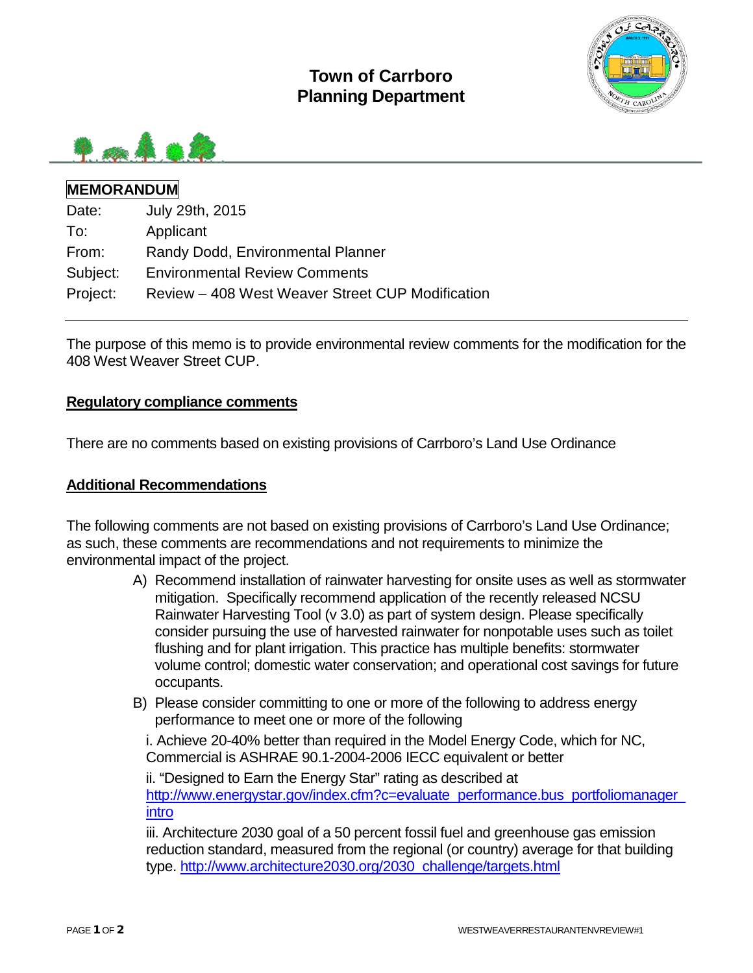



## **MEMORANDUM**

| Date:    | July 29th, 2015                                  |
|----------|--------------------------------------------------|
| To:      | Applicant                                        |
| From:    | Randy Dodd, Environmental Planner                |
| Subject: | <b>Environmental Review Comments</b>             |
| Project: | Review - 408 West Weaver Street CUP Modification |

The purpose of this memo is to provide environmental review comments for the modification for the 408 West Weaver Street CUP.

### **Regulatory compliance comments**

There are no comments based on existing provisions of Carrboro's Land Use Ordinance

## **Additional Recommendations**

The following comments are not based on existing provisions of Carrboro's Land Use Ordinance; as such, these comments are recommendations and not requirements to minimize the environmental impact of the project.

- A) Recommend installation of rainwater harvesting for onsite uses as well as stormwater mitigation. Specifically recommend application of the recently released NCSU Rainwater Harvesting Tool (v 3.0) as part of system design. Please specifically consider pursuing the use of harvested rainwater for nonpotable uses such as toilet flushing and for plant irrigation. This practice has multiple benefits: stormwater volume control; domestic water conservation; and operational cost savings for future occupants.
- B) Please consider committing to one or more of the following to address energy performance to meet one or more of the following

i. Achieve 20-40% better than required in the Model Energy Code, which for NC, Commercial is ASHRAE 90.1-2004-2006 IECC equivalent or better

ii. "Designed to Earn the Energy Star" rating as described at [http://www.energystar.gov/index.cfm?c=evaluate\\_performance.bus\\_portfoliomanager\\_](http://www.energystar.gov/index.cfm?c=evaluate_performance.bus_portfoliomanager_intro) [intro](http://www.energystar.gov/index.cfm?c=evaluate_performance.bus_portfoliomanager_intro)

iii. Architecture 2030 goal of a 50 percent fossil fuel and greenhouse gas emission reduction standard, measured from the regional (or country) average for that building type. [http://www.architecture2030.org/2030\\_challenge/targets.html](http://www.architecture2030.org/2030_challenge/targets.html)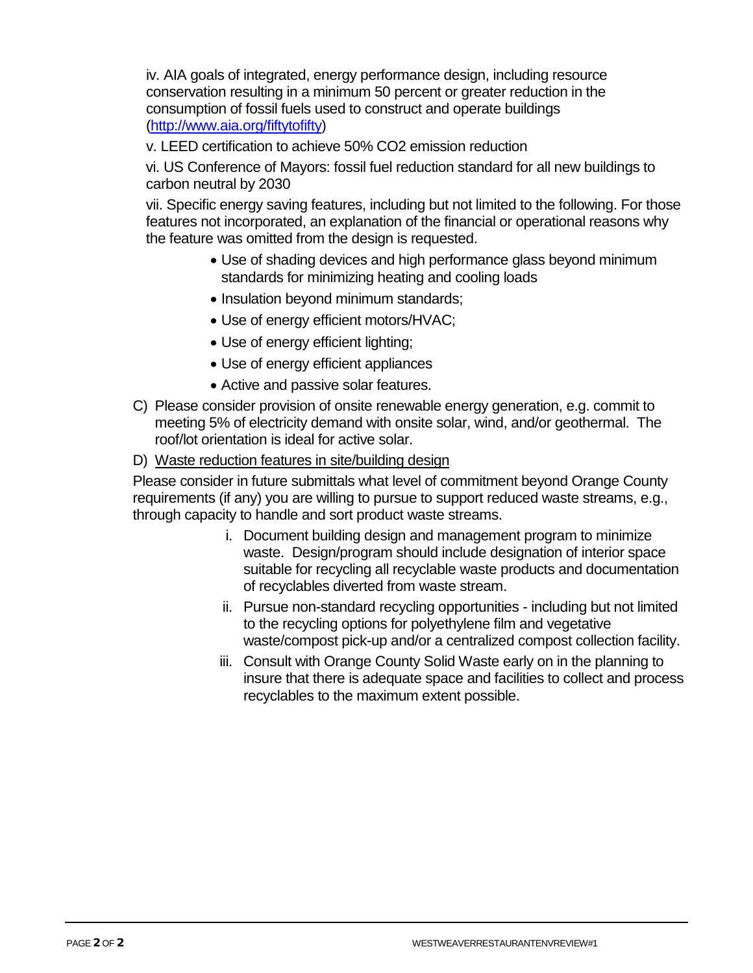iv. AIA goals of integrated, energy performance design, including resource conservation resulting in a minimum 50 percent or greater reduction in the consumption of fossil fuels used to construct and operate buildings [\(http://www.aia.org/fiftytofifty\)](http://www.aia.org/fiftytofifty)

v. LEED certification to achieve 50% CO2 emission reduction

vi. US Conference of Mayors: fossil fuel reduction standard for all new buildings to carbon neutral by 2030

vii. Specific energy saving features, including but not limited to the following. For those features not incorporated, an explanation of the financial or operational reasons why the feature was omitted from the design is requested.

- Use of shading devices and high performance glass beyond minimum standards for minimizing heating and cooling loads
- Insulation beyond minimum standards;
- Use of energy efficient motors/HVAC;
- Use of energy efficient lighting;
- Use of energy efficient appliances
- Active and passive solar features.
- C) Please consider provision of onsite renewable energy generation, e.g. commit to meeting 5% of electricity demand with onsite solar, wind, and/or geothermal. The roof/lot orientation is ideal for active solar.
- D) Waste reduction features in site/building design

Please consider in future submittals what level of commitment beyond Orange County requirements (if any) you are willing to pursue to support reduced waste streams, e.g., through capacity to handle and sort product waste streams.

- i. Document building design and management program to minimize waste. Design/program should include designation of interior space suitable for recycling all recyclable waste products and documentation of recyclables diverted from waste stream.
- ii. Pursue non-standard recycling opportunities including but not limited to the recycling options for polyethylene film and vegetative waste/compost pick-up and/or a centralized compost collection facility.
- iii. Consult with Orange County Solid Waste early on in the planning to insure that there is adequate space and facilities to collect and process recyclables to the maximum extent possible.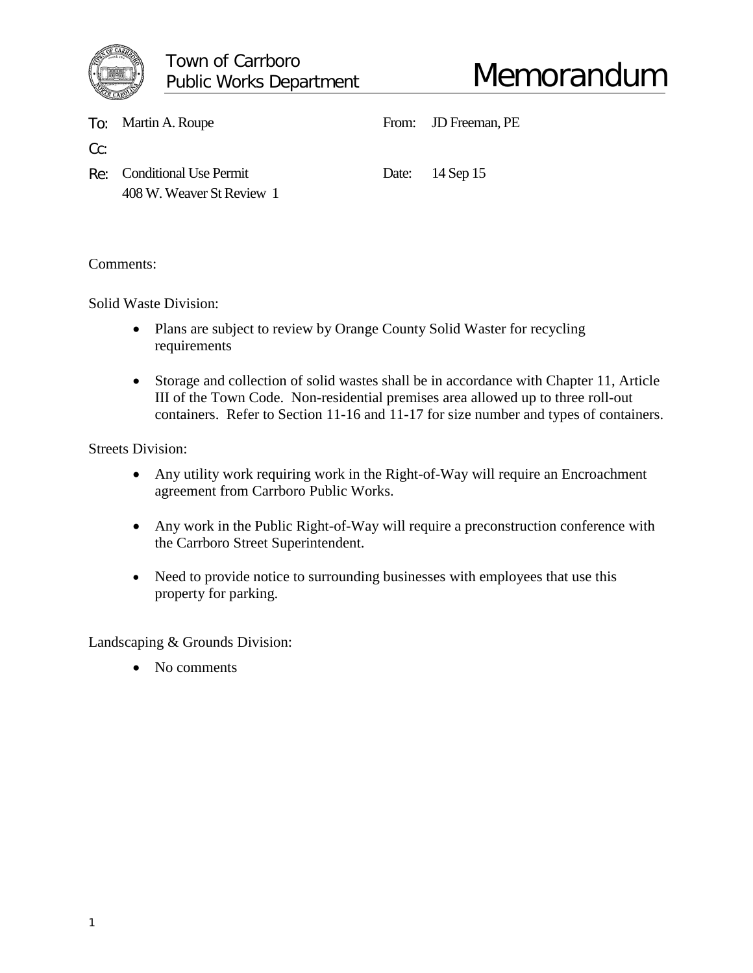

|     | To: Martin A. Roupe                                     | From: JD Freeman, PE |
|-----|---------------------------------------------------------|----------------------|
| Cc: |                                                         |                      |
|     | Re: Conditional Use Permit<br>408 W. Weaver St Review 1 | Date: 14 Sep 15      |

Comments:

Solid Waste Division:

- Plans are subject to review by Orange County Solid Waster for recycling requirements
- Storage and collection of solid wastes shall be in accordance with Chapter 11, Article III of the Town Code. Non-residential premises area allowed up to three roll-out containers. Refer to Section 11-16 and 11-17 for size number and types of containers.

Streets Division:

- Any utility work requiring work in the Right-of-Way will require an Encroachment agreement from Carrboro Public Works.
- Any work in the Public Right-of-Way will require a preconstruction conference with the Carrboro Street Superintendent.
- Need to provide notice to surrounding businesses with employees that use this property for parking.

Landscaping & Grounds Division:

• No comments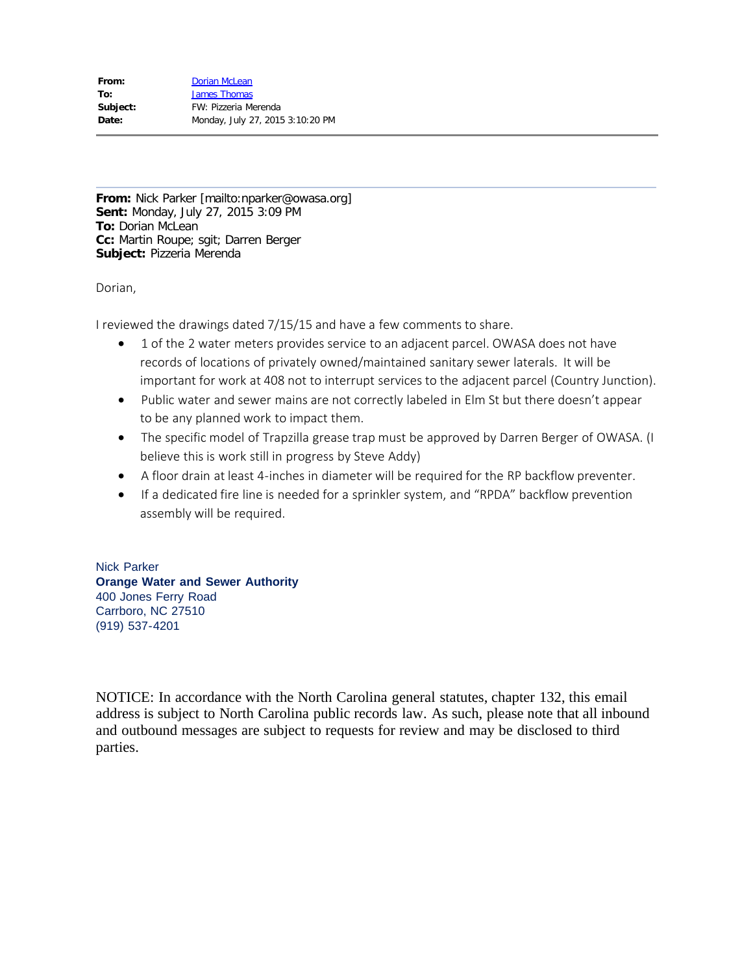| From:    | Dorian McLean                    |
|----------|----------------------------------|
| To:      | <b>James Thomas</b>              |
| Subject: | FW: Pizzeria Merenda             |
| Date:    | Monday, July 27, 2015 3:10:20 PM |

**From:** Nick Parker [mailto:nparker@owasa.org] **Sent:** Monday, July 27, 2015 3:09 PM **To:** Dorian McLean **Cc:** Martin Roupe; sgit; Darren Berger **Subject:** Pizzeria Merenda

Dorian,

I reviewed the drawings dated 7/15/15 and have a few comments to share.

- · 1 of the 2 water meters provides service to an adjacent parcel. OWASA does not have records of locations of privately owned/maintained sanitary sewer laterals. It will be important for work at 408 not to interrupt services to the adjacent parcel (Country Junction).
- · Public water and sewer mains are not correctly labeled in Elm St but there doesn't appear to be any planned work to impact them.
- The specific model of Trapzilla grease trap must be approved by Darren Berger of OWASA. (I believe this is work still in progress by Steve Addy)
- · A floor drain at least 4-inches in diameter will be required for the RP backflow preventer.
- · If a dedicated fire line is needed for a sprinkler system, and "RPDA" backflow prevention assembly will be required.

Nick Parker **Orange Water and Sewer Authority** 400 Jones Ferry Road Carrboro, NC 27510 (919) 537-4201

NOTICE: In accordance with the North Carolina general statutes, chapter 132, this email address is subject to North Carolina public records law. As such, please note that all inbound and outbound messages are subject to requests for review and may be disclosed to third parties.